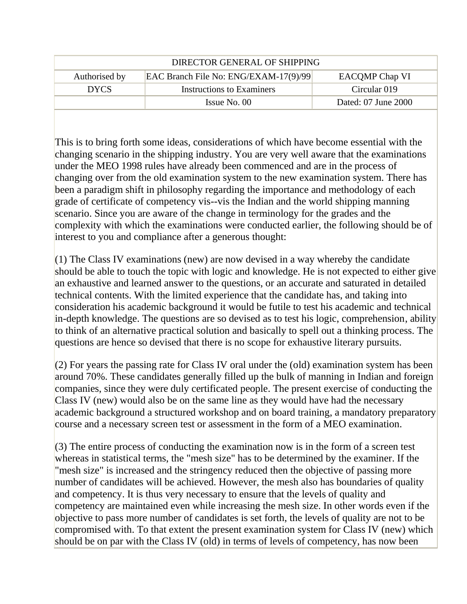| DIRECTOR GENERAL OF SHIPPING |                                       |                       |
|------------------------------|---------------------------------------|-----------------------|
| Authorised by                | EAC Branch File No: ENG/EXAM-17(9)/99 | <b>EACOMP Chap VI</b> |
| <b>DYCS</b>                  | Instructions to Examiners             | Circular 019          |
|                              | $\lambda$ Issue No. 00                | Dated: 07 June 2000   |

This is to bring forth some ideas, considerations of which have become essential with the changing scenario in the shipping industry. You are very well aware that the examinations under the MEO 1998 rules have already been commenced and are in the process of changing over from the old examination system to the new examination system. There has been a paradigm shift in philosophy regarding the importance and methodology of each grade of certificate of competency vis--vis the Indian and the world shipping manning scenario. Since you are aware of the change in terminology for the grades and the complexity with which the examinations were conducted earlier, the following should be of interest to you and compliance after a generous thought:

 $(1)$  The Class IV examinations (new) are now devised in a way whereby the candidate should be able to touch the topic with logic and knowledge. He is not expected to either give an exhaustive and learned answer to the questions, or an accurate and saturated in detailed technical contents. With the limited experience that the candidate has, and taking into consideration his academic background it would be futile to test his academic and technical in-depth knowledge. The questions are so devised as to test his logic, comprehension, ability to think of an alternative practical solution and basically to spell out a thinking process. The questions are hence so devised that there is no scope for exhaustive literary pursuits.

(2) For years the passing rate for Class IV oral under the (old) examination system has been around 70%. These candidates generally filled up the bulk of manning in Indian and foreign companies, since they were duly certificated people. The present exercise of conducting the Class IV (new) would also be on the same line as they would have had the necessary academic background a structured workshop and on board training, a mandatory preparatory course and a necessary screen test or assessment in the form of a MEO examination.

(3) The entire process of conducting the examination now is in the form of a screen test whereas in statistical terms, the "mesh size" has to be determined by the examiner. If the "mesh size" is increased and the stringency reduced then the objective of passing more number of candidates will be achieved. However, the mesh also has boundaries of quality and competency. It is thus very necessary to ensure that the levels of quality and competency are maintained even while increasing the mesh size. In other words even if the objective to pass more number of candidates is set forth, the levels of quality are not to be compromised with. To that extent the present examination system for Class IV (new) which should be on par with the Class IV (old) in terms of levels of competency, has now been